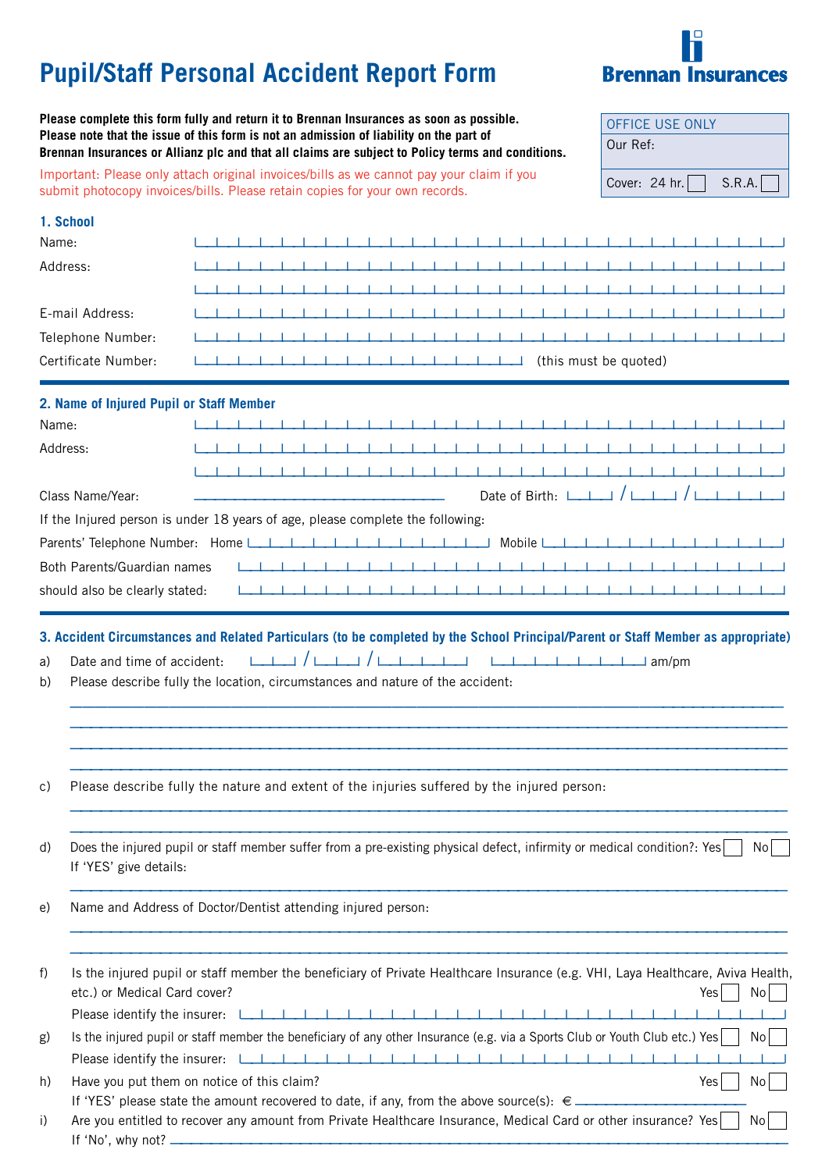# **Pupil/Staff Personal Accident Report Form**



**Please complete this form fully and return it to Brennan Insurances as soon as possible. Please note that the issue of this form is not an admission of liability on the part of Brennan Insurances or Allianz plc and that all claims are subject to Policy terms and conditions.**

Important: Please only attach original invoices/bills as we cannot pay your claim if you submit photocopy invoices/bills. Please retain copies for your own records.

| <b>OFFICE USE ONLY</b> |        |
|------------------------|--------|
| Our Ref:               |        |
|                        |        |
| Cover: 24 hr.          | S.R.A. |

|          | 1. School                                |                                                                                                                                                                                                                                                        |
|----------|------------------------------------------|--------------------------------------------------------------------------------------------------------------------------------------------------------------------------------------------------------------------------------------------------------|
| Name:    |                                          |                                                                                                                                                                                                                                                        |
| Address: |                                          | - 11<br>a sa T<br><b>CONTRACTOR</b>                                                                                                                                                                                                                    |
|          |                                          |                                                                                                                                                                                                                                                        |
|          | E-mail Address:                          | .                                                                                                                                                                                                                                                      |
|          | Telephone Number:                        | .<br>.                                                                                                                                                                                                                                                 |
|          | Certificate Number:                      | (this must be quoted)                                                                                                                                                                                                                                  |
|          | 2. Name of Injured Pupil or Staff Member |                                                                                                                                                                                                                                                        |
| Name:    |                                          | . 1. . 1. . 1. . 1. . 1. . 1. . 1. . 1. . 1. . 1. . 1. . 1. . 1. . 1. . 1. . 1. . 1. . 1. . 1. . 1. . 1. . 1.                                                                                                                                          |
| Address: |                                          | .                                                                                                                                                                                                                                                      |
|          |                                          | <b>TERMS IN THE REPORT OF A 49 YEAR OLD A 49 YEAR OLD A 49 YEAR OLD A 49 YEAR OLD A 49 YEAR OLD A 49 YEAR OLD A 49 YEAR OLD A 49 YEAR OLD A 49 YEAR OLD A 49 YEAR OLD A 49 YEAR OLD A 49 YEAR OLD A 49 YEAR OLD A 49 YEAR OLD A </b><br>$-1$ $-1$ $-1$ |
|          | Class Name/Year:                         | Date of Birth: $\Box$ / $\Box$ / $\Box$ / $\Box$                                                                                                                                                                                                       |
|          |                                          | If the Injured person is under 18 years of age, please complete the following:                                                                                                                                                                         |
|          |                                          | Parents' Telephone Number: Home Land and Land and Land and Land and Land and Mobile Land and Land and Land and                                                                                                                                         |
|          | Both Parents/Guardian names              |                                                                                                                                                                                                                                                        |
|          | should also be clearly stated:           |                                                                                                                                                                                                                                                        |
|          |                                          |                                                                                                                                                                                                                                                        |
| C)       |                                          | Please describe fully the nature and extent of the injuries suffered by the injured person:                                                                                                                                                            |
| d)       | If 'YES' give details:                   | Does the injured pupil or staff member suffer from a pre-existing physical defect, infirmity or medical condition?: Yes<br>No                                                                                                                          |
| e)       |                                          | Name and Address of Doctor/Dentist attending injured person:                                                                                                                                                                                           |
| f)       | etc.) or Medical Card cover?             | Is the injured pupil or staff member the beneficiary of Private Healthcare Insurance (e.g. VHI, Laya Healthcare, Aviva Health,<br>No<br>Yes                                                                                                            |
|          | Please identify the insurer:             | <u> 1919 - Johann John Harrison, francuski politik († 1908)</u>                                                                                                                                                                                        |
| g)       |                                          | Is the injured pupil or staff member the beneficiary of any other Insurance (e.g. via a Sports Club or Youth Club etc.) Yes<br>No                                                                                                                      |
|          |                                          |                                                                                                                                                                                                                                                        |
| h)       |                                          | Have you put them on notice of this claim?<br>Yes<br>No <sub>1</sub>                                                                                                                                                                                   |
| i)       |                                          | If 'YES' please state the amount recovered to date, if any, from the above source(s): $\epsilon$ ___________<br>Are you entitled to recover any amount from Private Healthcare Insurance, Medical Card or other insurance? Yes<br>No                   |
|          | If 'No', why not? __                     |                                                                                                                                                                                                                                                        |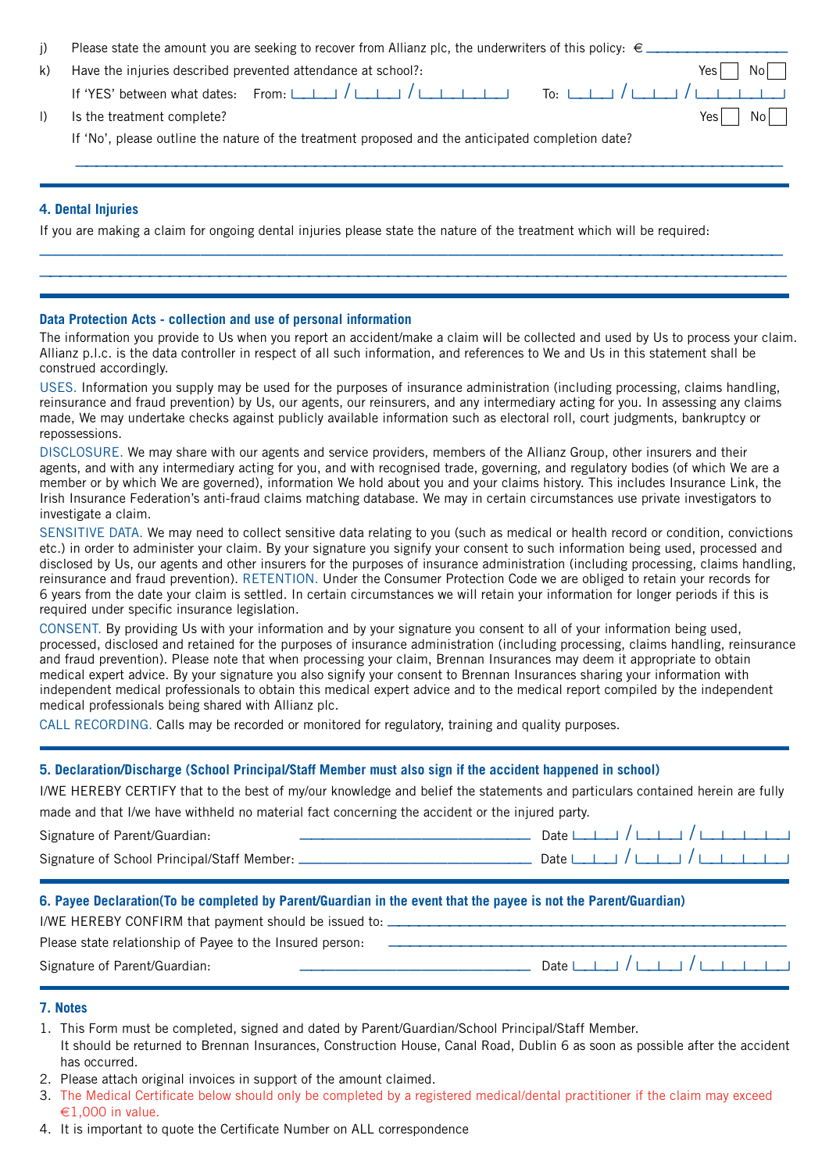| j)                                                                                                                     | Please state the amount you are seeking to recover from Allianz plc, the underwriters of this policy: $\epsilon =$ |  |  |  |  |  |  |
|------------------------------------------------------------------------------------------------------------------------|--------------------------------------------------------------------------------------------------------------------|--|--|--|--|--|--|
| k)                                                                                                                     | Have the injuries described prevented attendance at school?:<br>Yes<br>No.                                         |  |  |  |  |  |  |
|                                                                                                                        | To: $\Box$ $\Box$ $\Box$                                                                                           |  |  |  |  |  |  |
| $\vert$ )                                                                                                              | Is the treatment complete?<br>Yes<br>Νo                                                                            |  |  |  |  |  |  |
|                                                                                                                        | If 'No', please outline the nature of the treatment proposed and the anticipated completion date?                  |  |  |  |  |  |  |
|                                                                                                                        |                                                                                                                    |  |  |  |  |  |  |
|                                                                                                                        |                                                                                                                    |  |  |  |  |  |  |
|                                                                                                                        | 4. Dental Injuries                                                                                                 |  |  |  |  |  |  |
| If you are making a claim for ongoing dental injuries please state the nature of the treatment which will be required: |                                                                                                                    |  |  |  |  |  |  |
|                                                                                                                        |                                                                                                                    |  |  |  |  |  |  |
|                                                                                                                        |                                                                                                                    |  |  |  |  |  |  |

#### **Data Protection Acts - collection and use of personal information**

The information you provide to Us when you report an accident/make a claim will be collected and used by Us to process your claim. Allianz p.l.c. is the data controller in respect of all such information, and references to We and Us in this statement shall be construed accordingly.

USES. Information you supply may be used for the purposes of insurance administration (including processing, claims handling, reinsurance and fraud prevention) by Us, our agents, our reinsurers, and any intermediary acting for you. In assessing any claims made, We may undertake checks against publicly available information such as electoral roll, court judgments, bankruptcy or repossessions.

DISCLOSURE. We may share with our agents and service providers, members of the Allianz Group, other insurers and their agents, and with any intermediary acting for you, and with recognised trade, governing, and regulatory bodies (of which We are a member or by which We are governed), information We hold about you and your claims history. This includes Insurance Link, the Irish Insurance Federation's anti-fraud claims matching database. We may in certain circumstances use private investigators to investigate a claim.

SENSITIVE DATA. We may need to collect sensitive data relating to you (such as medical or health record or condition, convictions etc.) in order to administer your claim. By your signature you signify your consent to such information being used, processed and disclosed by Us, our agents and other insurers for the purposes of insurance administration (including processing, claims handling, reinsurance and fraud prevention). RETENTION. Under the Consumer Protection Code we are obliged to retain your records for 6 years from the date your claim is settled. In certain circumstances we will retain your information for longer periods if this is required under specific insurance legislation.

CONSENT. By providing Us with your information and by your signature you consent to all of your information being used, processed, disclosed and retained for the purposes of insurance administration (including processing, claims handling, reinsurance and fraud prevention). Please note that when processing your claim, Brennan Insurances may deem it appropriate to obtain medical expert advice. By your signature you also signify your consent to Brennan Insurances sharing your information with independent medical professionals to obtain this medical expert advice and to the medical report compiled by the independent medical professionals being shared with Allianz plc.

CALL RECORDING. Calls may be recorded or monitored for regulatory, training and quality purposes.

#### **5. Declaration/Discharge (School Principal/Staff Member must also sign if the accident happened in school)**

I/WE HEREBY CERTIFY that to the best of my/our knowledge and belief the statements and particulars contained herein are fully

made and that I/we have withheld no material fact concerning the accident or the injured party.

| Signature of Parent/Guardian:                      |                                      |  |  |  |  |  |
|----------------------------------------------------|--------------------------------------|--|--|--|--|--|
| Signature of School Principal/Staff Member: ______ | Date $1 + 1 + 1 + 1 + 1 + 1 + 1 + 1$ |  |  |  |  |  |

#### **6. Payee Declaration(To be completed by Parent/Guardian in the event that the payee is not the Parent/Guardian)**

| I/WE HEREBY CONFIRM that payment should be issued to:     |                                      |
|-----------------------------------------------------------|--------------------------------------|
| Please state relationship of Payee to the Insured person: |                                      |
| Signature of Parent/Guardian:                             | Date $L + 1$ $L + 1$ $L + 1$ $L + 1$ |

#### **7. Notes**

- 1. This Form must be completed, signed and dated by Parent/Guardian/School Principal/Staff Member.
- It should be returned to Brennan Insurances, Construction House, Canal Road, Dublin 6 as soon as possible after the accident has occurred.
- 2. Please attach original invoices in support of the amount claimed.
- 3. The Medical Certificate below should only be completed by a registered medical/dental practitioner if the claim may exceed  $\epsilon$ 1,000 in value.
- 4. It is important to quote the Certificate Number on ALL correspondence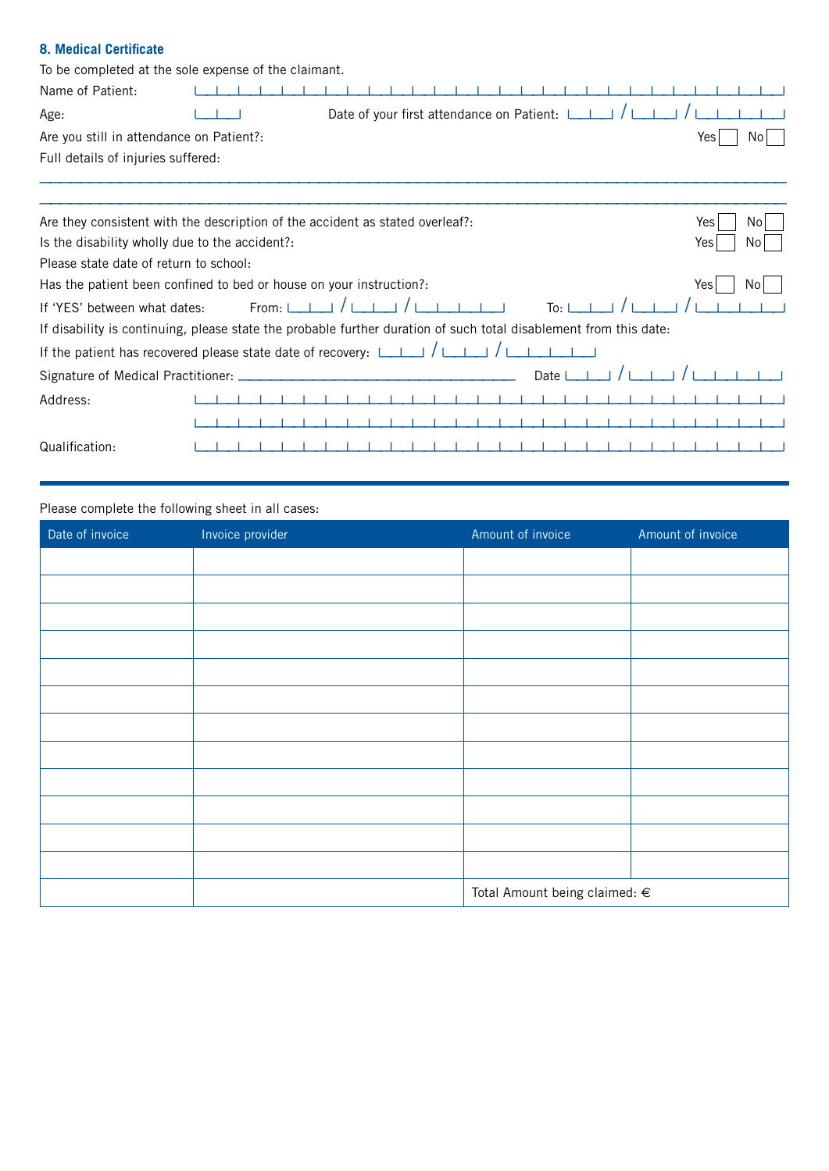## **8. Medical Certificate**

| To be completed at the sole expense of the claimant.                                                  |               |                                                |                                                                                                                   |            |
|-------------------------------------------------------------------------------------------------------|---------------|------------------------------------------------|-------------------------------------------------------------------------------------------------------------------|------------|
| Name of Patient:                                                                                      |               |                                                |                                                                                                                   |            |
| Age:                                                                                                  |               | Date of your first attendance on Patient: [11] |                                                                                                                   |            |
| Are you still in attendance on Patient?:                                                              |               |                                                |                                                                                                                   | Yes<br>No. |
| Full details of injuries suffered:                                                                    |               |                                                |                                                                                                                   |            |
|                                                                                                       |               |                                                |                                                                                                                   |            |
| Are they consistent with the description of the accident as stated overleaf?:                         |               |                                                |                                                                                                                   | No.<br>Yes |
| Is the disability wholly due to the accident?:                                                        |               |                                                |                                                                                                                   | Yes<br>No. |
| Please state date of return to school:                                                                |               |                                                |                                                                                                                   |            |
| Has the patient been confined to bed or house on your instruction?:                                   |               |                                                |                                                                                                                   | No<br>Yes  |
| If 'YES' between what dates:                                                                          | $From: \_\_\$ |                                                | To·                                                                                                               |            |
|                                                                                                       |               |                                                | If disability is continuing, please state the probable further duration of such total disablement from this date: |            |
| If the patient has recovered please state date of recovery: $\Box$ $\Box$ $\Box$ $\Box$ $\Box$ $\Box$ |               |                                                |                                                                                                                   |            |
| Signature of Medical Practitioner: _                                                                  |               |                                                | Date L                                                                                                            |            |
| Address:                                                                                              |               |                                                |                                                                                                                   |            |
|                                                                                                       |               |                                                |                                                                                                                   |            |
| Qualification:                                                                                        |               |                                                |                                                                                                                   |            |

### Please complete the following sheet in all cases:

| Date of invoice | Invoice provider | Amount of invoice                 | Amount of invoice |  |  |
|-----------------|------------------|-----------------------------------|-------------------|--|--|
|                 |                  |                                   |                   |  |  |
|                 |                  |                                   |                   |  |  |
|                 |                  |                                   |                   |  |  |
|                 |                  |                                   |                   |  |  |
|                 |                  |                                   |                   |  |  |
|                 |                  |                                   |                   |  |  |
|                 |                  |                                   |                   |  |  |
|                 |                  |                                   |                   |  |  |
|                 |                  |                                   |                   |  |  |
|                 |                  |                                   |                   |  |  |
|                 |                  |                                   |                   |  |  |
|                 |                  |                                   |                   |  |  |
|                 |                  | Total Amount being claimed: $\in$ |                   |  |  |